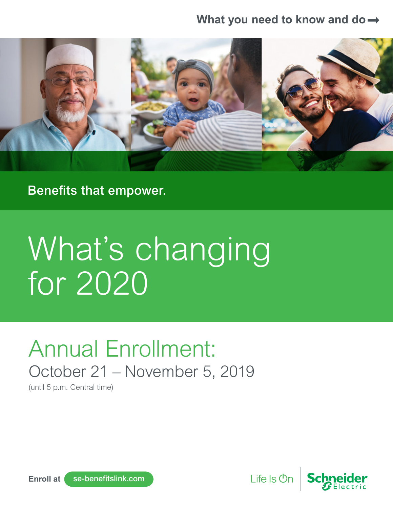### **What you need to know and do**



Benefits that empower.

# What's changing for 2020

# Annual Enrollment: October 21 – November 5, 2019

(until 5 p.m. Central time)



Life Is Un

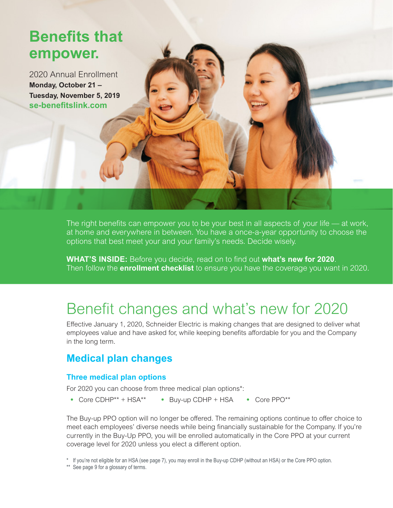### **Benefits that empower.**

2020 Annual Enrollment **Monday, October 21 – Tuesday, November 5, 2019 [se-benefitslink.com](https://leplb0410.upoint.alight.com/web/schneider/login?forkPage=false)**

> The right benefits can empower you to be your best in all aspects of your life — at work, at home and everywhere in between. You have a once-a-year opportunity to choose the options that best meet your and your family's needs. Decide wisely.

> **WHAT'S INSIDE:** Before you decide, read on to find out **what's new for 2020**. Then follow the **enrollment checklist** to ensure you have the coverage you want in 2020.

### Benefit changes and what's new for 2020

Effective January 1, 2020, Schneider Electric is making changes that are designed to deliver what employees value and have asked for, while keeping benefits affordable for you and the Company in the long term.

### **Medical plan changes**

### **Three medical plan options**

For 2020 you can choose from three medical plan options\*:

• Core CDHP\*\* + HSA\*\* • Buy-up CDHP + HSA • Core PPO\*\*

The Buy-up PPO option will no longer be offered. The remaining options continue to offer choice to meet each employees' diverse needs while being financially sustainable for the Company. If you're currently in the Buy-Up PPO, you will be enrolled automatically in the Core PPO at your current coverage level for 2020 unless you elect a different option.

\* If you're not eligible for an HSA (see page 7), you may enroll in the Buy-up CDHP (without an HSA) or the Core PPO option.

\*\* See page 9 for a glossary of terms.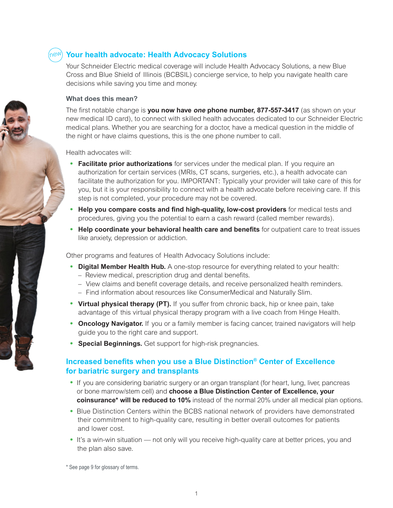### **Your health advocate: Health Advocacy Solutions** new

Your Schneider Electric medical coverage will include Health Advocacy Solutions, a new Blue Cross and Blue Shield of Illinois (BCBSIL) concierge service, to help you navigate health care decisions while saving you time and money.

#### **What does this mean?**

The first notable change is **you now have one phone number, 877-557-3417** (as shown on your new medical ID card), to connect with skilled health advocates dedicated to our Schneider Electric medical plans. Whether you are searching for a doctor, have a medical question in the middle of the night or have claims questions, this is the one phone number to call.

Health advocates will:

- **Facilitate prior authorizations** for services under the medical plan. If you require an authorization for certain services (MRIs, CT scans, surgeries, etc.), a health advocate can facilitate the authorization for you. IMPORTANT: Typically your provider will take care of this for you, but it is your responsibility to connect with a health advocate before receiving care. If this step is not completed, your procedure may not be covered.
- **Help you compare costs and find high-quality, low-cost providers** for medical tests and procedures, giving you the potential to earn a cash reward (called member rewards).
- **Help coordinate your behavioral health care and benefits** for outpatient care to treat issues like anxiety, depression or addiction.

Other programs and features of Health Advocacy Solutions include:

- **Digital Member Health Hub.** A one-stop resource for everything related to your health:
	- Review medical, prescription drug and dental benefits.
	- View claims and benefit coverage details, and receive personalized health reminders.
	- Find information about resources like ConsumerMedical and Naturally Slim.
- **Virtual physical therapy (PT).** If you suffer from chronic back, hip or knee pain, take advantage of this virtual physical therapy program with a live coach from Hinge Health.
- **Oncology Navigator.** If you or a family member is facing cancer, trained navigators will help guide you to the right care and support.
- **Special Beginnings.** Get support for high-risk pregnancies.

### **Increased benefits when you use a Blue Distinction® Center of Excellence for bariatric surgery and transplants**

- If you are considering bariatric surgery or an organ transplant (for heart, lung, liver, pancreas or bone marrow/stem cell) and **choose a Blue Distinction Center of Excellence, your coinsurance\* will be reduced to 10%** instead of the normal 20% under all medical plan options.
- Blue Distinction Centers within the BCBS national network of providers have demonstrated their commitment to high-quality care, resulting in better overall outcomes for patients and lower cost.
- It's a win-win situation not only will you receive high-quality care at better prices, you and the plan also save.

\* See page 9 for glossary of terms.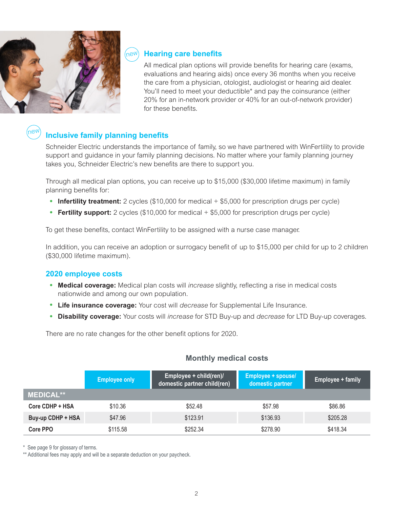

### **Hearing care benefits**

All medical plan options will provide benefits for hearing care (exams, evaluations and hearing aids) once every 36 months when you receive the care from a physician, otologist, audiologist or hearing aid dealer. You'll need to meet your deductible\* and pay the coinsurance (either 20% for an in-network provider or 40% for an out-of-network provider) for these benefits.

#### **Inclusive family planning benefits** new

Schneider Electric understands the importance of family, so we have partnered with WinFertility to provide support and guidance in your family planning decisions. No matter where your family planning journey takes you, Schneider Electric's new benefits are there to support you.

Through all medical plan options, you can receive up to \$15,000 (\$30,000 lifetime maximum) in family planning benefits for:

- **Infertility treatment:** 2 cycles (\$10,000 for medical + \$5,000 for prescription drugs per cycle)
- **Fertility support:** 2 cycles (\$10,000 for medical + \$5,000 for prescription drugs per cycle)

To get these benefits, contact WinFertility to be assigned with a nurse case manager.

In addition, you can receive an adoption or surrogacy benefit of up to \$15,000 per child for up to 2 children (\$30,000 lifetime maximum).

#### **2020 employee costs**

- **Medical coverage:** Medical plan costs will *increase* slightly, reflecting a rise in medical costs nationwide and among our own population.
- **Life insurance coverage:** Your cost will *decrease* for Supplemental Life Insurance.
- **Disability coverage:** Your costs will *increase* for STD Buy-up and *decrease* for LTD Buy-up coverages.

There are no rate changes for the other benefit options for 2020.

|                   | <b>Employee only</b> | Employee + child(ren)/<br>domestic partner child(ren) | Employee + spouse/<br>domestic partner | Employee + family |
|-------------------|----------------------|-------------------------------------------------------|----------------------------------------|-------------------|
| <b>MEDICAL**</b>  |                      |                                                       |                                        |                   |
| Core CDHP + HSA   | \$10.36              | \$52.48                                               | \$57.98                                | \$86.86           |
| Buy-up CDHP + HSA | \$47.96              | \$123.91                                              | \$136.93                               | \$205.28          |
| Core PPO          | \$115.58             | \$252.34                                              | \$278.90                               | \$418.34          |

#### **Monthly medical costs**

\* See page 9 for glossary of terms.

\*\* Additional fees may apply and will be a separate deduction on your paycheck.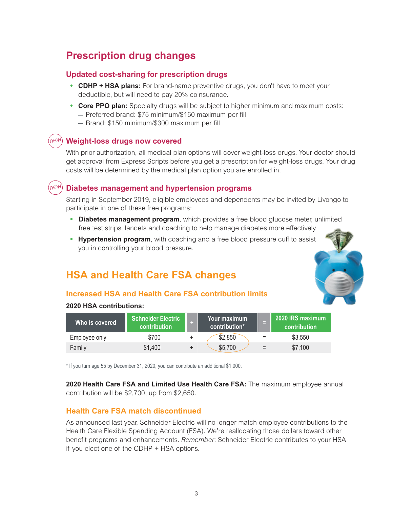### **Prescription drug changes**

### **Updated cost-sharing for prescription drugs**

- **CDHP + HSA plans:** For brand-name preventive drugs, you don't have to meet your deductible, but will need to pay 20% coinsurance.
- **Core PPO plan:** Specialty drugs will be subject to higher minimum and maximum costs: – Preferred brand: \$75 minimum/\$150 maximum per fill
	- Brand: \$150 minimum/\$300 maximum per fill

#### **Weight-loss drugs now covered** new

With prior authorization, all medical plan options will cover weight-loss drugs. Your doctor should get approval from Express Scripts before you get a prescription for weight-loss drugs. Your drug costs will be determined by the medical plan option you are enrolled in.

#### **Diabetes management and hypertension programs** new

Starting in September 2019, eligible employees and dependents may be invited by Livongo to participate in one of these free programs:

- **Diabetes management program**, which provides a free blood glucose meter, unlimited free test strips, lancets and coaching to help manage diabetes more effectively.
- **Hypertension program**, with coaching and a free blood pressure cuff to assist you in controlling your blood pressure.

### **HSA and Health Care FSA changes**

### **Increased HSA and Health Care FSA contribution limits**

#### **2020 HSA contributions:**

| Who is covered | <b>Schneider Electric</b><br>contribution | Your maximum<br>contribution* |     | 2020 IRS maximum<br><b>contribution</b> |
|----------------|-------------------------------------------|-------------------------------|-----|-----------------------------------------|
| Employee only  | \$700                                     | \$2,850                       | $=$ | \$3,550                                 |
| Family         | \$1,400                                   | \$5,700                       | $=$ | \$7,100                                 |

\* If you turn age 55 by December 31, 2020, you can contribute an additional \$1,000.

**2020 Health Care FSA and Limited Use Health Care FSA:** The maximum employee annual contribution will be \$2,700, up from \$2,650.

#### **Health Care FSA match discontinued**

As announced last year, Schneider Electric will no longer match employee contributions to the Health Care Flexible Spending Account (FSA). We're reallocating those dollars toward other benefit programs and enhancements. *Remember*: Schneider Electric contributes to your HSA if you elect one of the CDHP  $+$  HSA options.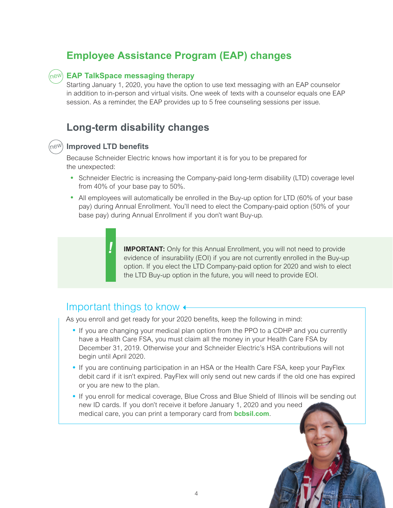### **Employee Assistance Program (EAP) changes**

### **EAP TalkSpace messaging therapy**  new

Starting January 1, 2020, you have the option to use text messaging with an EAP counselor in addition to in-person and virtual visits. One week of texts with a counselor equals one EAP session. As a reminder, the EAP provides up to 5 free counseling sessions per issue.

### **Long-term disability changes**



### **Improved LTD benefits** new

Because Schneider Electric knows how important it is for you to be prepared for the unexpected:

- Schneider Electric is increasing the Company-paid long-term disability (LTD) coverage level from 40% of your base pay to 50%.
- All employees will automatically be enrolled in the Buy-up option for LTD (60% of your base pay) during Annual Enrollment. You'll need to elect the Company-paid option (50% of your base pay) during Annual Enrollment if you don't want Buy-up.



**IMPORTANT:** Only for this Annual Enrollment, you will not need to provide evidence of insurability (EOI) if you are not currently enrolled in the Buy-up option. If you elect the LTD Company-paid option for 2020 and wish to elect the LTD Buy-up option in the future, you will need to provide EOI.

### Important things to know  $\leftarrow$

As you enroll and get ready for your 2020 benefits, keep the following in mind:

- If you are changing your medical plan option from the PPO to a CDHP and you currently have a Health Care FSA, you must claim all the money in your Health Care FSA by December 31, 2019. Otherwise your and Schneider Electric's HSA contributions will not begin until April 2020.
- If you are continuing participation in an HSA or the Health Care FSA, keep your PayFlex debit card if it isn't expired. PayFlex will only send out new cards if the old one has expired or you are new to the plan.
- If you enroll for medical coverage, Blue Cross and Blue Shield of Illinois will be sending out new ID cards. If you don't receive it before January 1, 2020 and you need medical care, you can print a temporary card from **[bcbsil.com](https://www.bcbsil.com)**.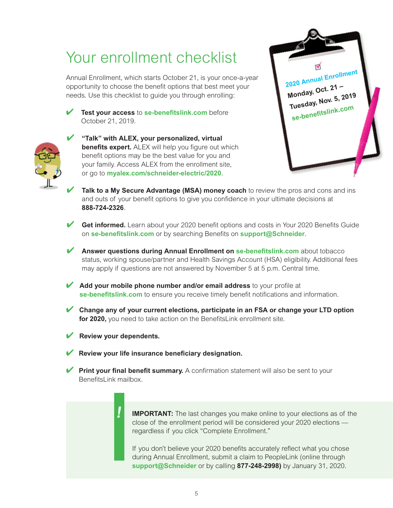### Your enrollment checklist

Annual Enrollment, which starts October 21, is your once-a-year opportunity to choose the benefit options that best meet your needs. Use this checklist to guide you through enrolling:

✔ **Test your access** to **[se-benefitslink.com](https://leplb0410.upoint.alight.com/web/schneider/login?forkPage=false)** before October 21, 2019.





- ✔ **"Talk" with ALEX, your personalized, virtual benefits expert.** ALEX will help you figure out which benefit options may be the best value for you and your family. Access ALEX from the enrollment site, or go to **[myalex.com/schneider-electric/2020](https://www.myalex.com/schneider-electric/2020)**.
- Talk to a My Secure Advantage (MSA) money coach to review the pros and cons and ins and outs of your benefit options to give you confidence in your ultimate decisions at **888-724-2326**.
- Get informed. Learn about your 2020 benefit options and costs in Your 2020 Benefits Guide on **[se-benefitslink.com](https://leplb0410.upoint.alight.com/web/schneider/login?forkPage=false)** or by searching Benefits on **[support@Schneider](https://schneider.service-now.com/supportatschneider)**.
- ✔ **Answer questions during Annual Enrollment on [se-benefitslink.com](https://leplb0410.upoint.alight.com/web/schneider/login?forkPage=false)** about tobacco status, working spouse/partner and Health Savings Account (HSA) eligibility. Additional fees may apply if questions are not answered by November 5 at 5 p.m. Central time.
- ✔ **Add your mobile phone number and/or email address** to your profile at **[se-benefitslink.com](https://leplb0410.upoint.alight.com/web/schneider/login?forkPage=false)** to ensure you receive timely benefit notifications and information.
- ✔ **Change any of your current elections, participate in an FSA or change your LTD option for 2020,** you need to take action on the BenefitsLink enrollment site.
- ✔ **Review your dependents.**

**!**

- **Review your life insurance beneficiary designation.**
- **► Print your final benefit summary.** A confirmation statement will also be sent to your BenefitsLink mailbox

### **IMPORTANT:** The last changes you make online to your elections as of the close of the enrollment period will be considered your 2020 elections regardless if you click "Complete Enrollment."

If you don't believe your 2020 benefits accurately reflect what you chose during Annual Enrollment, submit a claim to PeopleLink (online through **[support@Schneider](https://schneider.service-now.com/supportatschneider)** or by calling **877-248-2998)** by January 31, 2020.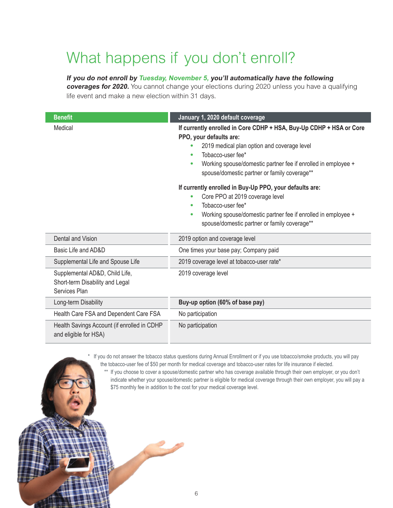## What happens if you don't enroll?

### **If you do not enroll by Tuesday, November 5, you'll automatically have the following**

**coverages for 2020.** You cannot change your elections during 2020 unless you have a qualifying life event and make a new election within 31 days.

| <b>Benefit</b>                                                                     | January 1, 2020 default coverage                                                                                                                                                                                                                                                         |  |  |  |
|------------------------------------------------------------------------------------|------------------------------------------------------------------------------------------------------------------------------------------------------------------------------------------------------------------------------------------------------------------------------------------|--|--|--|
| Medical                                                                            | If currently enrolled in Core CDHP + HSA, Buy-Up CDHP + HSA or Core<br>PPO, your defaults are:<br>2019 medical plan option and coverage level<br>Tobacco-user fee*<br>۰<br>Working spouse/domestic partner fee if enrolled in employee +<br>spouse/domestic partner or family coverage** |  |  |  |
|                                                                                    | If currently enrolled in Buy-Up PPO, your defaults are:<br>Core PPO at 2019 coverage level<br>$\bullet$<br>Tobacco-user fee*<br>$\bullet$<br>Working spouse/domestic partner fee if enrolled in employee +<br>۰<br>spouse/domestic partner or family coverage**                          |  |  |  |
| Dental and Vision                                                                  | 2019 option and coverage level                                                                                                                                                                                                                                                           |  |  |  |
| Basic Life and AD&D                                                                | One times your base pay; Company paid                                                                                                                                                                                                                                                    |  |  |  |
| Supplemental Life and Spouse Life                                                  | 2019 coverage level at tobacco-user rate*                                                                                                                                                                                                                                                |  |  |  |
| Supplemental AD&D, Child Life,<br>Short-term Disability and Legal<br>Services Plan | 2019 coverage level                                                                                                                                                                                                                                                                      |  |  |  |
| Long-term Disability                                                               | Buy-up option (60% of base pay)                                                                                                                                                                                                                                                          |  |  |  |
| Health Care FSA and Dependent Care FSA                                             | No participation                                                                                                                                                                                                                                                                         |  |  |  |
| Health Savings Account (if enrolled in CDHP<br>and eligible for HSA)               | No participation                                                                                                                                                                                                                                                                         |  |  |  |

 \* If you do not answer the tobacco status questions during Annual Enrollment or if you use tobacco/smoke products, you will pay the tobacco-user fee of \$50 per month for medical coverage and tobacco-user rates for life insurance if elected.

\*\* If you choose to cover a spouse/domestic partner who has coverage available through their own employer, or you don't indicate whether your spouse/domestic partner is eligible for medical coverage through their own employer, you will pay a \$75 monthly fee in addition to the cost for your medical coverage level.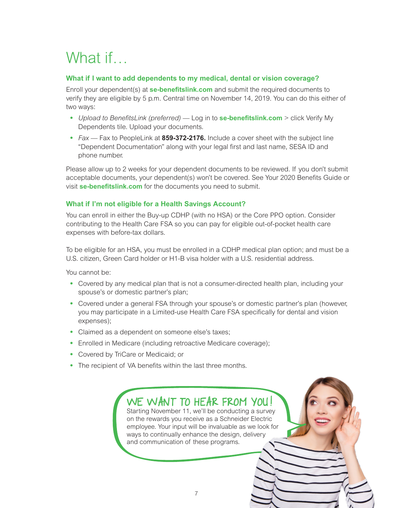## What if...

### **What if I want to add dependents to my medical, dental or vision coverage?**

Enroll your dependent(s) at **[se-benefitslink.com](https://leplb0410.upoint.alight.com/web/schneider/login?forkPage=false)** and submit the required documents to verify they are eligible by 5 p.m. Central time on November 14, 2019. You can do this either of two ways:

- *Upload to BenefitsLink (preferred)* Log in to **[se-benefitslink.com](https://leplb0410.upoint.alight.com/web/schneider/login?forkPage=false)** > click Verify My Dependents tile. Upload your documents.
- *Fax* Fax to PeopleLink at **859-372-2176.** Include a cover sheet with the subject line "Dependent Documentation" along with your legal first and last name, SESA ID and phone number.

Please allow up to 2 weeks for your dependent documents to be reviewed. If you don't submit acceptable documents, your dependent(s) won't be covered. See Your 2020 Benefits Guide or visit **[se-benefitslink.com](https://leplb0410.upoint.alight.com/web/schneider/login?forkPage=false)** for the documents you need to submit.

### **What if I'm not eligible for a Health Savings Account?**

You can enroll in either the Buy-up CDHP (with no HSA) or the Core PPO option. Consider contributing to the Health Care FSA so you can pay for eligible out-of-pocket health care expenses with before-tax dollars.

To be eligible for an HSA, you must be enrolled in a CDHP medical plan option; and must be a U.S. citizen, Green Card holder or H1-B visa holder with a U.S. residential address.

You cannot be:

- Covered by any medical plan that is not a consumer-directed health plan, including your spouse's or domestic partner's plan;
- Covered under a general FSA through your spouse's or domestic partner's plan (however, you may participate in a Limited-use Health Care FSA specifically for dental and vision expenses);
- Claimed as a dependent on someone else's taxes;
- Enrolled in Medicare (including retroactive Medicare coverage);
- Covered by TriCare or Medicaid; or
- The recipient of VA benefits within the last three months.

WE WANT TO HEAR FROM YOU! Starting November 11, we'll be conducting a survey on the rewards you receive as a Schneider Electric employee. Your input will be invaluable as we look for ways to continually enhance the design, delivery and communication of these programs.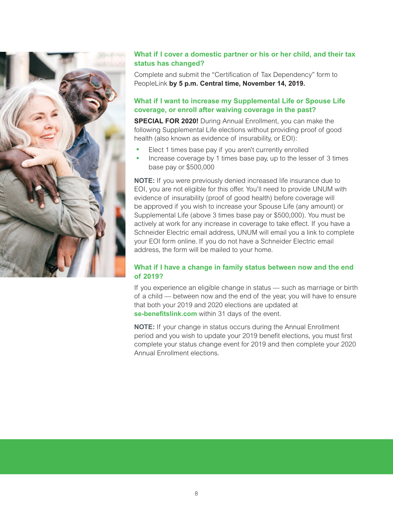

### **What if I cover a domestic partner or his or her child, and their tax status has changed?**

Complete and submit the "Certification of Tax Dependency" form to PeopleLink **by 5 p.m. Central time, November 14, 2019.**

### **What if I want to increase my Supplemental Life or Spouse Life coverage, or enroll after waiving coverage in the past?**

**SPECIAL FOR 2020!** During Annual Enrollment, you can make the following Supplemental Life elections without providing proof of good health (also known as evidence of insurability, or EOI):

- Elect 1 times base pay if you aren't currently enrolled
- Increase coverage by 1 times base pay, up to the lesser of 3 times base pay or \$500,000

**NOTE:** If you were previously denied increased life insurance due to EOI, you are not eligible for this offer. You'll need to provide UNUM with evidence of insurability (proof of good health) before coverage will be approved if you wish to increase your Spouse Life (any amount) or Supplemental Life (above 3 times base pay or \$500,000). You must be actively at work for any increase in coverage to take effect. If you have a Schneider Electric email address, UNUM will email you a link to complete your EOI form online. If you do not have a Schneider Electric email address, the form will be mailed to your home.

### **What if I have a change in family status between now and the end of 2019?**

If you experience an eligible change in status — such as marriage or birth of a child — between now and the end of the year, you will have to ensure that both your 2019 and 2020 elections are updated at **[se-benefitslink.com](https://leplb0410.upoint.alight.com/web/schneider/login?forkPage=false)** within 31 days of the event.

**NOTE:** If your change in status occurs during the Annual Enrollment period and you wish to update your 2019 benefit elections, you must first complete your status change event for 2019 and then complete your 2020 Annual Enrollment elections.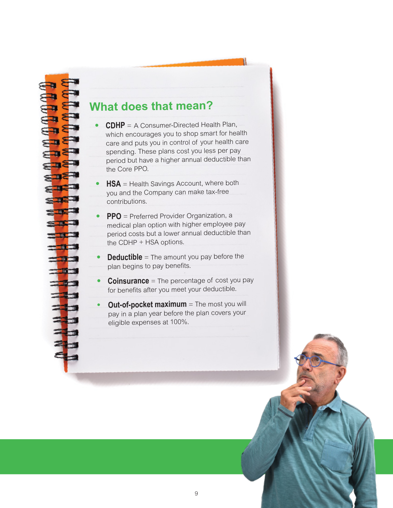### **What does that mean?**

- • **CDHP** <sup>=</sup> A Consumer-Directed Health Plan, which encourages you to shop smart for health care and puts you in control of your health care spending. These plans cost you less per pay period but have a higher annual deductible than the Core PPO.
- •**HSA** = Health Savings Account, where both you and the Company can make tax-free contributions.
- • **PPO** = Preferred Provider Organization, a medical plan option with higher employee pay period costs but a lower annual deductible than the CDHP + HSA options.
- •**Deductible** = The amount you pay before the plan begins to pay benefits.
- •**Coinsurance** = The percentage of cost you pay for benefits after you meet your deductible.
- **•Out-of-pocket maximum** = The most you will pay in a plan year before the plan covers your eligible expenses at 100%.